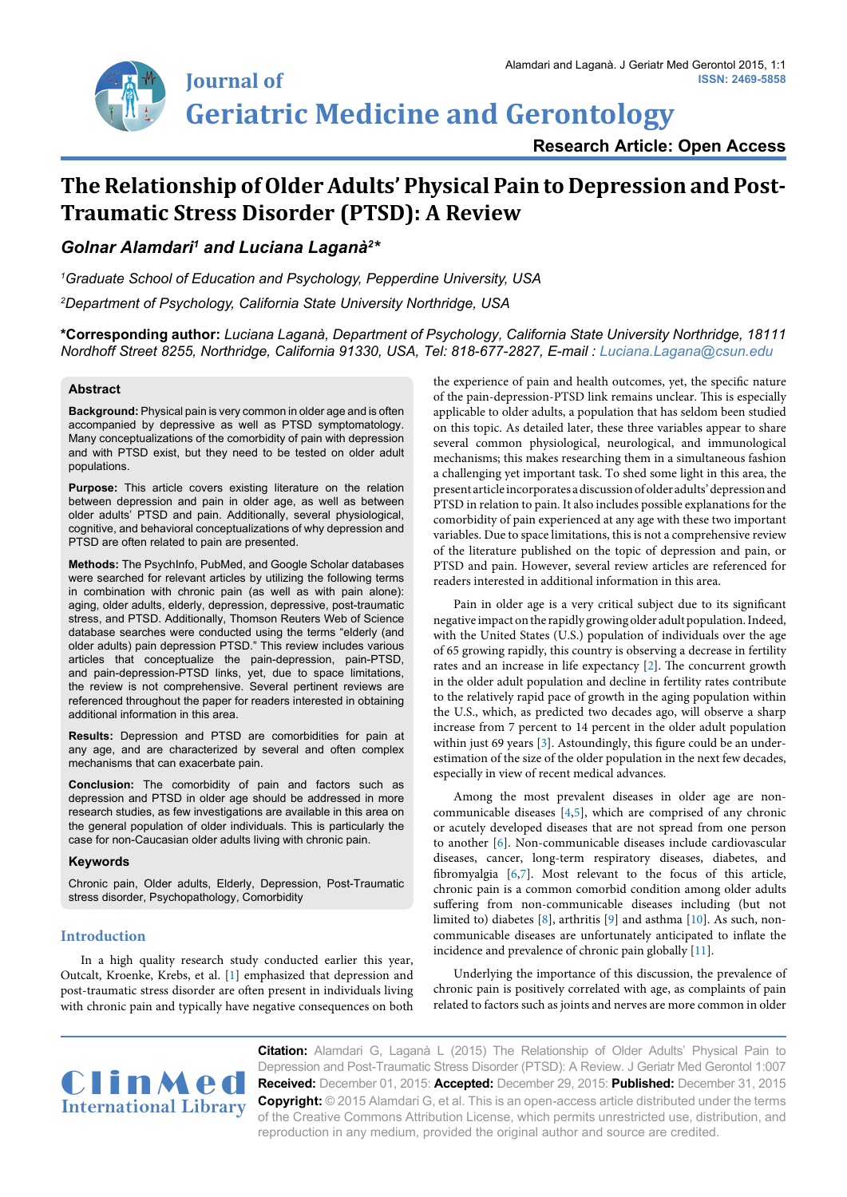

**ISSN: 2469-5858**

# **The Relationship of Older Adults' Physical Pain to Depression and Post-Traumatic Stress Disorder (PTSD): A Review**

*Golnar Alamdari1 and Luciana Laganà2 \**

*1 Graduate School of Education and Psychology, Pepperdine University, USA*

*2 Department of Psychology, California State University Northridge, USA*

**\*Corresponding author:** *Luciana Laganà, Department of Psychology, California State University Northridge, 18111 Nordhoff Street 8255, Northridge, California 91330, USA, Tel: 818-677-2827, E-mail : Luciana.Lagana@csun.edu*

## **Abstract**

**Background:** Physical pain is very common in older age and is often accompanied by depressive as well as PTSD symptomatology. Many conceptualizations of the comorbidity of pain with depression and with PTSD exist, but they need to be tested on older adult populations.

**Purpose:** This article covers existing literature on the relation between depression and pain in older age, as well as between older adults' PTSD and pain. Additionally, several physiological, cognitive, and behavioral conceptualizations of why depression and PTSD are often related to pain are presented.

**Methods:** The PsychInfo, PubMed, and Google Scholar databases were searched for relevant articles by utilizing the following terms in combination with chronic pain (as well as with pain alone): aging, older adults, elderly, depression, depressive, post-traumatic stress, and PTSD. Additionally, Thomson Reuters Web of Science database searches were conducted using the terms "elderly (and older adults) pain depression PTSD." This review includes various articles that conceptualize the pain-depression, pain-PTSD, and pain-depression-PTSD links, yet, due to space limitations, the review is not comprehensive. Several pertinent reviews are referenced throughout the paper for readers interested in obtaining additional information in this area.

**Results:** Depression and PTSD are comorbidities for pain at any age, and are characterized by several and often complex mechanisms that can exacerbate pain.

**Conclusion:** The comorbidity of pain and factors such as depression and PTSD in older age should be addressed in more research studies, as few investigations are available in this area on the general population of older individuals. This is particularly the case for non-Caucasian older adults living with chronic pain.

## **Keywords**

Chronic pain, Older adults, Elderly, Depression, Post-Traumatic stress disorder, Psychopathology, Comorbidity

# **Introduction**

In a high quality research study conducted earlier this year, Outcalt, Kroenke, Krebs, et al. [\[1\]](#page-5-10) emphasized that depression and post-traumatic stress disorder are often present in individuals living with chronic pain and typically have negative consequences on both the experience of pain and health outcomes, yet, the specific nature of the pain-depression-PTSD link remains unclear. This is especially applicable to older adults, a population that has seldom been studied on this topic. As detailed later, these three variables appear to share several common physiological, neurological, and immunological mechanisms; this makes researching them in a simultaneous fashion a challenging yet important task. To shed some light in this area, the present article incorporates a discussion of older adults' depression and PTSD in relation to pain. It also includes possible explanations for the comorbidity of pain experienced at any age with these two important variables. Due to space limitations, this is not a comprehensive review of the literature published on the topic of depression and pain, or PTSD and pain. However, several review articles are referenced for readers interested in additional information in this area.

Pain in older age is a very critical subject due to its significant negative impact on the rapidly growing older adult population. Indeed, with the United States (U.S.) population of individuals over the age of 65 growing rapidly, this country is observing a decrease in fertility rates and an increase in life expectancy [\[2\]](#page-5-0). The concurrent growth in the older adult population and decline in fertility rates contribute to the relatively rapid pace of growth in the aging population within the U.S., which, as predicted two decades ago, will observe a sharp increase from 7 percent to 14 percent in the older adult population within just 69 years [\[3\]](#page-5-1). Astoundingly, this figure could be an underestimation of the size of the older population in the next few decades, especially in view of recent medical advances.

Among the most prevalent diseases in older age are noncommunicable diseases [\[4](#page-5-2)[,5\]](#page-5-3), which are comprised of any chronic or acutely developed diseases that are not spread from one person to another [[6\]](#page-5-4). Non-communicable diseases include cardiovascular diseases, cancer, long-term respiratory diseases, diabetes, and fibromyalgia [\[6,](#page-5-4)[7](#page-5-5)]. Most relevant to the focus of this article, chronic pain is a common comorbid condition among older adults suffering from non-communicable diseases including (but not limited to) diabetes [\[8](#page-5-6)], arthritis [[9\]](#page-5-7) and asthma [[10](#page-5-8)]. As such, noncommunicable diseases are unfortunately anticipated to inflate the incidence and prevalence of chronic pain globally [\[11\]](#page-5-9).

Underlying the importance of this discussion, the prevalence of chronic pain is positively correlated with age, as complaints of pain related to factors such as joints and nerves are more common in older



**Citation:** Alamdari G, Laganà L (2015) The Relationship of Older Adults' Physical Pain to Depression and Post-Traumatic Stress Disorder (PTSD): A Review. J Geriatr Med Gerontol 1:007 **Received:** December 01, 2015: **Accepted:** December 29, 2015: **Published:** December 31, 2015 **Copyright:** © 2015 Alamdari G, et al. This is an open-access article distributed under the terms of the Creative Commons Attribution License, which permits unrestricted use, distribution, and reproduction in any medium, provided the original author and source are credited.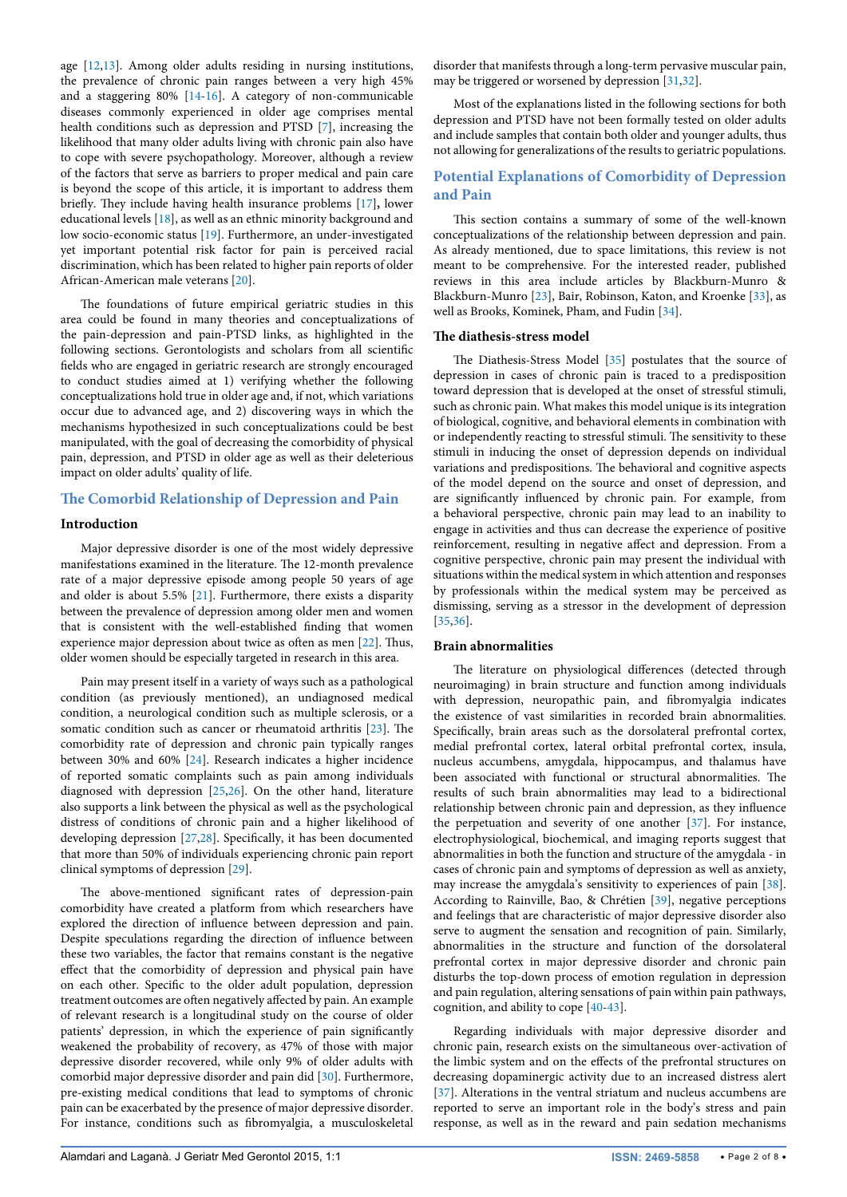age [[12](#page-5-11)[,13](#page-5-12)]. Among older adults residing in nursing institutions, the prevalence of chronic pain ranges between a very high 45% and a staggering 80% [[14](#page-5-13)[-16](#page-5-14)]. A category of non-communicable diseases commonly experienced in older age comprises mental health conditions such as depression and PTSD [\[7\]](#page-5-5), increasing the likelihood that many older adults living with chronic pain also have to cope with severe psychopathology. Moreover, although a review of the factors that serve as barriers to proper medical and pain care is beyond the scope of this article, it is important to address them briefly. They include having health insurance problems [\[17\]](#page-5-15)**,** lower educational levels [\[18\]](#page-5-16), as well as an ethnic minority background and low socio-economic status [[19\]](#page-5-17). Furthermore, an under-investigated yet important potential risk factor for pain is perceived racial discrimination, which has been related to higher pain reports of older African-American male veterans [[20](#page-5-18)].

The foundations of future empirical geriatric studies in this area could be found in many theories and conceptualizations of the pain-depression and pain-PTSD links, as highlighted in the following sections. Gerontologists and scholars from all scientific fields who are engaged in geriatric research are strongly encouraged to conduct studies aimed at 1) verifying whether the following conceptualizations hold true in older age and, if not, which variations occur due to advanced age, and 2) discovering ways in which the mechanisms hypothesized in such conceptualizations could be best manipulated, with the goal of decreasing the comorbidity of physical pain, depression, and PTSD in older age as well as their deleterious impact on older adults' quality of life.

# **The Comorbid Relationship of Depression and Pain**

# **Introduction**

Major depressive disorder is one of the most widely depressive manifestations examined in the literature. The 12-month prevalence rate of a major depressive episode among people 50 years of age and older is about 5.5% [[21\]](#page-5-19). Furthermore, there exists a disparity between the prevalence of depression among older men and women that is consistent with the well-established finding that women experience major depression about twice as often as men [[22](#page-5-20)]. Thus, older women should be especially targeted in research in this area.

Pain may present itself in a variety of ways such as a pathological condition (as previously mentioned), an undiagnosed medical condition, a neurological condition such as multiple sclerosis, or a somatic condition such as cancer or rheumatoid arthritis [\[23\]](#page-6-0). The comorbidity rate of depression and chronic pain typically ranges between 30% and 60% [\[24](#page-6-1)]. Research indicates a higher incidence of reported somatic complaints such as pain among individuals diagnosed with depression [[25](#page-6-2)[,26\]](#page-6-3). On the other hand, literature also supports a link between the physical as well as the psychological distress of conditions of chronic pain and a higher likelihood of developing depression [[27,](#page-6-4)[28](#page-6-5)]. Specifically, it has been documented that more than 50% of individuals experiencing chronic pain report clinical symptoms of depression [\[29](#page-6-6)].

The above-mentioned significant rates of depression-pain comorbidity have created a platform from which researchers have explored the direction of influence between depression and pain. Despite speculations regarding the direction of influence between these two variables, the factor that remains constant is the negative effect that the comorbidity of depression and physical pain have on each other. Specific to the older adult population, depression treatment outcomes are often negatively affected by pain. An example of relevant research is a longitudinal study on the course of older patients' depression, in which the experience of pain significantly weakened the probability of recovery, as 47% of those with major depressive disorder recovered, while only 9% of older adults with comorbid major depressive disorder and pain did [[30\]](#page-6-7). Furthermore, pre-existing medical conditions that lead to symptoms of chronic pain can be exacerbated by the presence of major depressive disorder. For instance, conditions such as fibromyalgia, a musculoskeletal

disorder that manifests through a long-term pervasive muscular pain, may be triggered or worsened by depression [[31,](#page-6-8)[32](#page-6-9)].

Most of the explanations listed in the following sections for both depression and PTSD have not been formally tested on older adults and include samples that contain both older and younger adults, thus not allowing for generalizations of the results to geriatric populations.

# **Potential Explanations of Comorbidity of Depression and Pain**

This section contains a summary of some of the well-known conceptualizations of the relationship between depression and pain. As already mentioned, due to space limitations, this review is not meant to be comprehensive. For the interested reader, published reviews in this area include articles by Blackburn-Munro & Blackburn-Munro [\[23\]](#page-6-0), Bair, Robinson, Katon, and Kroenke [\[33](#page-6-10)], as well as Brooks, Kominek, Pham, and Fudin [[34](#page-6-11)].

## **The diathesis-stress model**

The Diathesis-Stress Model [\[35\]](#page-6-12) postulates that the source of depression in cases of chronic pain is traced to a predisposition toward depression that is developed at the onset of stressful stimuli, such as chronic pain. What makes this model unique is its integration of biological, cognitive, and behavioral elements in combination with or independently reacting to stressful stimuli. The sensitivity to these stimuli in inducing the onset of depression depends on individual variations and predispositions. The behavioral and cognitive aspects of the model depend on the source and onset of depression, and are significantly influenced by chronic pain. For example, from a behavioral perspective, chronic pain may lead to an inability to engage in activities and thus can decrease the experience of positive reinforcement, resulting in negative affect and depression. From a cognitive perspective, chronic pain may present the individual with situations within the medical system in which attention and responses by professionals within the medical system may be perceived as dismissing, serving as a stressor in the development of depression [[35](#page-6-12),[36](#page-6-13)].

#### **Brain abnormalities**

The literature on physiological differences (detected through neuroimaging) in brain structure and function among individuals with depression, neuropathic pain, and fibromyalgia indicates the existence of vast similarities in recorded brain abnormalities. Specifically, brain areas such as the dorsolateral prefrontal cortex, medial prefrontal cortex, lateral orbital prefrontal cortex, insula, nucleus accumbens, amygdala, hippocampus, and thalamus have been associated with functional or structural abnormalities. The results of such brain abnormalities may lead to a bidirectional relationship between chronic pain and depression, as they influence the perpetuation and severity of one another [[37](#page-6-14)]. For instance, electrophysiological, biochemical, and imaging reports suggest that abnormalities in both the function and structure of the amygdala - in cases of chronic pain and symptoms of depression as well as anxiety, may increase the amygdala's sensitivity to experiences of pain [[38\]](#page-6-15). According to Rainville, Bao, & Chrétien [\[39\]](#page-6-16), negative perceptions and feelings that are characteristic of major depressive disorder also serve to augment the sensation and recognition of pain. Similarly, abnormalities in the structure and function of the dorsolateral prefrontal cortex in major depressive disorder and chronic pain disturbs the top-down process of emotion regulation in depression and pain regulation, altering sensations of pain within pain pathways, cognition, and ability to cope [\[40-](#page-6-17)[43\]](#page-6-18).

Regarding individuals with major depressive disorder and chronic pain, research exists on the simultaneous over-activation of the limbic system and on the effects of the prefrontal structures on decreasing dopaminergic activity due to an increased distress alert [[37](#page-6-14)]. Alterations in the ventral striatum and nucleus accumbens are reported to serve an important role in the body's stress and pain response, as well as in the reward and pain sedation mechanisms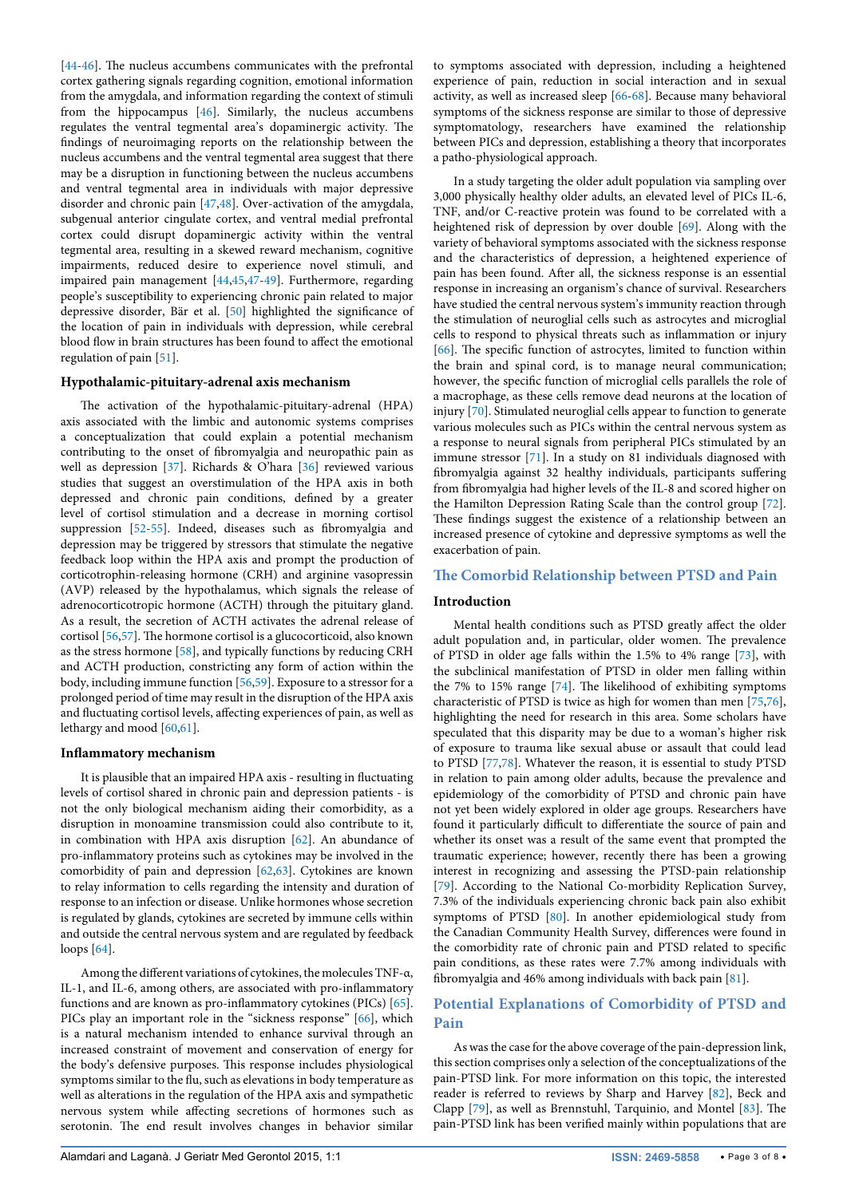[[44](#page-6-33)[-46](#page-6-34)]. The nucleus accumbens communicates with the prefrontal cortex gathering signals regarding cognition, emotional information from the amygdala, and information regarding the context of stimuli from the hippocampus [[46](#page-6-34)]. Similarly, the nucleus accumbens regulates the ventral tegmental area's dopaminergic activity. The findings of neuroimaging reports on the relationship between the nucleus accumbens and the ventral tegmental area suggest that there may be a disruption in functioning between the nucleus accumbens and ventral tegmental area in individuals with major depressive disorder and chronic pain [[47](#page-6-35)[,48\]](#page-6-36). Over-activation of the amygdala, subgenual anterior cingulate cortex, and ventral medial prefrontal cortex could disrupt dopaminergic activity within the ventral tegmental area, resulting in a skewed reward mechanism, cognitive impairments, reduced desire to experience novel stimuli, and impaired pain management [\[44](#page-6-33)[,45,](#page-6-37)[47](#page-6-35)-[49](#page-6-38)]. Furthermore, regarding people's susceptibility to experiencing chronic pain related to major depressive disorder, Bär et al. [[50](#page-6-39)] highlighted the significance of the location of pain in individuals with depression, while cerebral blood flow in brain structures has been found to affect the emotional regulation of pain [\[51\]](#page-6-40).

### **Hypothalamic-pituitary-adrenal axis mechanism**

The activation of the hypothalamic-pituitary-adrenal (HPA) axis associated with the limbic and autonomic systems comprises a conceptualization that could explain a potential mechanism contributing to the onset of fibromyalgia and neuropathic pain as well as depression [[37](#page-6-14)]. Richards & O'hara [[36](#page-6-13)] reviewed various studies that suggest an overstimulation of the HPA axis in both depressed and chronic pain conditions, defined by a greater level of cortisol stimulation and a decrease in morning cortisol suppression [\[52-](#page-6-41)[55\]](#page-6-42). Indeed, diseases such as fibromyalgia and depression may be triggered by stressors that stimulate the negative feedback loop within the HPA axis and prompt the production of corticotrophin-releasing hormone (CRH) and arginine vasopressin (AVP) released by the hypothalamus, which signals the release of adrenocorticotropic hormone (ACTH) through the pituitary gland. As a result, the secretion of ACTH activates the adrenal release of cortisol [[56](#page-6-43)[,57\]](#page-6-44). The hormone cortisol is a glucocorticoid, also known as the stress hormone [\[58\]](#page-6-45), and typically functions by reducing CRH and ACTH production, constricting any form of action within the body, including immune function [\[56](#page-6-43)[,59\]](#page-6-46). Exposure to a stressor for a prolonged period of time may result in the disruption of the HPA axis and fluctuating cortisol levels, affecting experiences of pain, as well as lethargy and mood [[60,](#page-6-47)[61](#page-6-48)].

#### **Inflammatory mechanism**

It is plausible that an impaired HPA axis - resulting in fluctuating levels of cortisol shared in chronic pain and depression patients - is not the only biological mechanism aiding their comorbidity, as a disruption in monoamine transmission could also contribute to it, in combination with HPA axis disruption [[62](#page-6-49)]. An abundance of pro-inflammatory proteins such as cytokines may be involved in the comorbidity of pain and depression [\[62,](#page-6-49)[63\]](#page-6-50). Cytokines are known to relay information to cells regarding the intensity and duration of response to an infection or disease. Unlike hormones whose secretion is regulated by glands, cytokines are secreted by immune cells within and outside the central nervous system and are regulated by feedback loops [\[64\]](#page-6-51).

Among the different variations of cytokines, the molecules TNF-α, IL-1, and IL-6, among others, are associated with pro-inflammatory functions and are known as pro-inflammatory cytokines (PICs) [[65](#page-6-52)]. PICs play an important role in the "sickness response" [[66](#page-6-19)], which is a natural mechanism intended to enhance survival through an increased constraint of movement and conservation of energy for the body's defensive purposes. This response includes physiological symptoms similar to the flu, such as elevations in body temperature as well as alterations in the regulation of the HPA axis and sympathetic nervous system while affecting secretions of hormones such as serotonin. The end result involves changes in behavior similar to symptoms associated with depression, including a heightened experience of pain, reduction in social interaction and in sexual activity, as well as increased sleep [[66](#page-6-19)[-68\]](#page-6-20). Because many behavioral symptoms of the sickness response are similar to those of depressive symptomatology, researchers have examined the relationship between PICs and depression, establishing a theory that incorporates a patho-physiological approach.

In a study targeting the older adult population via sampling over 3,000 physically healthy older adults, an elevated level of PICs IL-6, TNF, and/or C-reactive protein was found to be correlated with a heightened risk of depression by over double [[69](#page-6-21)]. Along with the variety of behavioral symptoms associated with the sickness response and the characteristics of depression, a heightened experience of pain has been found. After all, the sickness response is an essential response in increasing an organism's chance of survival. Researchers have studied the central nervous system's immunity reaction through the stimulation of neuroglial cells such as astrocytes and microglial cells to respond to physical threats such as inflammation or injury [[66](#page-6-19)]. The specific function of astrocytes, limited to function within the brain and spinal cord, is to manage neural communication; however, the specific function of microglial cells parallels the role of a macrophage, as these cells remove dead neurons at the location of injury [[70](#page-6-22)]. Stimulated neuroglial cells appear to function to generate various molecules such as PICs within the central nervous system as a response to neural signals from peripheral PICs stimulated by an immune stressor [\[71\]](#page-6-23). In a study on 81 individuals diagnosed with fibromyalgia against 32 healthy individuals, participants suffering from fibromyalgia had higher levels of the IL-8 and scored higher on the Hamilton Depression Rating Scale than the control group [[72\]](#page-6-24). These findings suggest the existence of a relationship between an increased presence of cytokine and depressive symptoms as well the exacerbation of pain.

## **The Comorbid Relationship between PTSD and Pain**

#### **Introduction**

Mental health conditions such as PTSD greatly affect the older adult population and, in particular, older women. The prevalence of PTSD in older age falls within the 1.5% to 4% range [[73](#page-6-25)], with the subclinical manifestation of PTSD in older men falling within the 7% to 15% range [[74](#page-6-26)]. The likelihood of exhibiting symptoms characteristic of PTSD is twice as high for women than men [\[75,](#page-6-27)[76\]](#page-6-28), highlighting the need for research in this area. Some scholars have speculated that this disparity may be due to a woman's higher risk of exposure to trauma like sexual abuse or assault that could lead to PTSD [[77,](#page-6-29)[78](#page-6-30)]. Whatever the reason, it is essential to study PTSD in relation to pain among older adults, because the prevalence and epidemiology of the comorbidity of PTSD and chronic pain have not yet been widely explored in older age groups. Researchers have found it particularly difficult to differentiate the source of pain and whether its onset was a result of the same event that prompted the traumatic experience; however, recently there has been a growing interest in recognizing and assessing the PTSD-pain relationship [[79](#page-6-31)]. According to the National Co-morbidity Replication Survey, 7.3% of the individuals experiencing chronic back pain also exhibit symptoms of PTSD [[80](#page-6-32)]. In another epidemiological study from the Canadian Community Health Survey, differences were found in the comorbidity rate of chronic pain and PTSD related to specific pain conditions, as these rates were 7.7% among individuals with fibromyalgia and 46% among individuals with back pain [[81\]](#page-7-0).

# **Potential Explanations of Comorbidity of PTSD and Pain**

As was the case for the above coverage of the pain-depression link, this section comprises only a selection of the conceptualizations of the pain-PTSD link. For more information on this topic, the interested reader is referred to reviews by Sharp and Harvey [[82\]](#page-7-1), Beck and Clapp [\[79](#page-6-31)], as well as Brennstuhl, Tarquinio, and Montel [[83](#page-7-2)]. The pain-PTSD link has been verified mainly within populations that are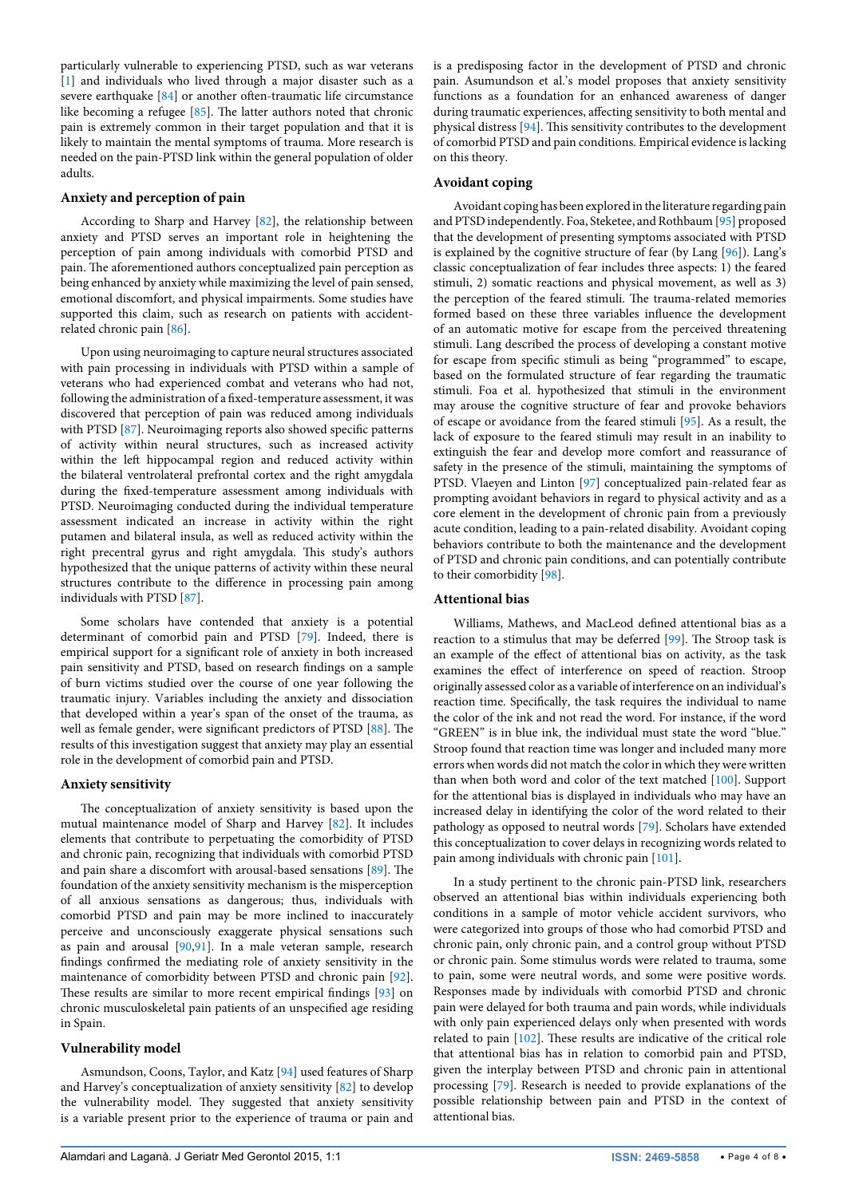particularly vulnerable to experiencing PTSD, such as war veterans [[1\]](#page-5-10) and individuals who lived through a major disaster such as a severe earthquake [\[84](#page-7-12)] or another often-traumatic life circumstance like becoming a refugee [\[85](#page-7-13)]. The latter authors noted that chronic pain is extremely common in their target population and that it is likely to maintain the mental symptoms of trauma. More research is needed on the pain-PTSD link within the general population of older adults.

## **Anxiety and perception of pain**

According to Sharp and Harvey [\[82](#page-7-1)], the relationship between anxiety and PTSD serves an important role in heightening the perception of pain among individuals with comorbid PTSD and pain. The aforementioned authors conceptualized pain perception as being enhanced by anxiety while maximizing the level of pain sensed, emotional discomfort, and physical impairments. Some studies have supported this claim, such as research on patients with accidentrelated chronic pain [\[86\]](#page-7-14).

Upon using neuroimaging to capture neural structures associated with pain processing in individuals with PTSD within a sample of veterans who had experienced combat and veterans who had not, following the administration of a fixed-temperature assessment, it was discovered that perception of pain was reduced among individuals with PTSD [[87](#page-7-15)]. Neuroimaging reports also showed specific patterns of activity within neural structures, such as increased activity within the left hippocampal region and reduced activity within the bilateral ventrolateral prefrontal cortex and the right amygdala during the fixed-temperature assessment among individuals with PTSD. Neuroimaging conducted during the individual temperature assessment indicated an increase in activity within the right putamen and bilateral insula, as well as reduced activity within the right precentral gyrus and right amygdala. This study's authors hypothesized that the unique patterns of activity within these neural structures contribute to the difference in processing pain among individuals with PTSD [[87](#page-7-15)].

Some scholars have contended that anxiety is a potential determinant of comorbid pain and PTSD [[79](#page-6-31)]. Indeed, there is empirical support for a significant role of anxiety in both increased pain sensitivity and PTSD, based on research findings on a sample of burn victims studied over the course of one year following the traumatic injury. Variables including the anxiety and dissociation that developed within a year's span of the onset of the trauma, as well as female gender, were significant predictors of PTSD [[88](#page-7-16)]. The results of this investigation suggest that anxiety may play an essential role in the development of comorbid pain and PTSD.

# **Anxiety sensitivity**

The conceptualization of anxiety sensitivity is based upon the mutual maintenance model of Sharp and Harvey [[82](#page-7-1)]. It includes elements that contribute to perpetuating the comorbidity of PTSD and chronic pain, recognizing that individuals with comorbid PTSD and pain share a discomfort with arousal-based sensations [[89](#page-7-17)]. The foundation of the anxiety sensitivity mechanism is the misperception of all anxious sensations as dangerous; thus, individuals with comorbid PTSD and pain may be more inclined to inaccurately perceive and unconsciously exaggerate physical sensations such as pain and arousal [\[90,](#page-7-18)[91](#page-7-19)]. In a male veteran sample, research findings confirmed the mediating role of anxiety sensitivity in the maintenance of comorbidity between PTSD and chronic pain [[92](#page-7-20)]. These results are similar to more recent empirical findings [\[93\]](#page-7-21) on chronic musculoskeletal pain patients of an unspecified age residing in Spain.

#### **Vulnerability model**

Asmundson, Coons, Taylor, and Katz [\[94](#page-7-3)] used features of Sharp and Harvey's conceptualization of anxiety sensitivity [[82](#page-7-1)] to develop the vulnerability model. They suggested that anxiety sensitivity is a variable present prior to the experience of trauma or pain and is a predisposing factor in the development of PTSD and chronic pain. Asumundson et al.'s model proposes that anxiety sensitivity functions as a foundation for an enhanced awareness of danger during traumatic experiences, affecting sensitivity to both mental and physical distress [\[94\]](#page-7-3). This sensitivity contributes to the development of comorbid PTSD and pain conditions. Empirical evidence is lacking on this theory.

# **Avoidant coping**

Avoidant coping has been explored in the literature regarding pain and PTSD independently. Foa, Steketee, and Rothbaum [[95](#page-7-4)] proposed that the development of presenting symptoms associated with PTSD is explained by the cognitive structure of fear (by Lang [\[96\]](#page-7-5)). Lang's classic conceptualization of fear includes three aspects: 1) the feared stimuli, 2) somatic reactions and physical movement, as well as 3) the perception of the feared stimuli. The trauma-related memories formed based on these three variables influence the development of an automatic motive for escape from the perceived threatening stimuli. Lang described the process of developing a constant motive for escape from specific stimuli as being "programmed" to escape, based on the formulated structure of fear regarding the traumatic stimuli. Foa et al. hypothesized that stimuli in the environment may arouse the cognitive structure of fear and provoke behaviors of escape or avoidance from the feared stimuli [\[95\]](#page-7-4). As a result, the lack of exposure to the feared stimuli may result in an inability to extinguish the fear and develop more comfort and reassurance of safety in the presence of the stimuli, maintaining the symptoms of PTSD. Vlaeyen and Linton [\[97\]](#page-7-6) conceptualized pain-related fear as prompting avoidant behaviors in regard to physical activity and as a core element in the development of chronic pain from a previously acute condition, leading to a pain-related disability. Avoidant coping behaviors contribute to both the maintenance and the development of PTSD and chronic pain conditions, and can potentially contribute to their comorbidity [\[98\]](#page-7-7).

# **Attentional bias**

Williams, Mathews, and MacLeod defined attentional bias as a reaction to a stimulus that may be deferred [\[99\]](#page-7-8). The Stroop task is an example of the effect of attentional bias on activity, as the task examines the effect of interference on speed of reaction. Stroop originally assessed color as a variable of interference on an individual's reaction time. Specifically, the task requires the individual to name the color of the ink and not read the word. For instance, if the word "GREEN" is in blue ink, the individual must state the word "blue." Stroop found that reaction time was longer and included many more errors when words did not match the color in which they were written than when both word and color of the text matched [[100\]](#page-7-9). Support for the attentional bias is displayed in individuals who may have an increased delay in identifying the color of the word related to their pathology as opposed to neutral words [[79](#page-6-31)]. Scholars have extended this conceptualization to cover delays in recognizing words related to pain among individuals with chronic pain [\[101](#page-7-10)].

In a study pertinent to the chronic pain-PTSD link, researchers observed an attentional bias within individuals experiencing both conditions in a sample of motor vehicle accident survivors, who were categorized into groups of those who had comorbid PTSD and chronic pain, only chronic pain, and a control group without PTSD or chronic pain. Some stimulus words were related to trauma, some to pain, some were neutral words, and some were positive words. Responses made by individuals with comorbid PTSD and chronic pain were delayed for both trauma and pain words, while individuals with only pain experienced delays only when presented with words related to pain [\[102](#page-7-11)]. These results are indicative of the critical role that attentional bias has in relation to comorbid pain and PTSD, given the interplay between PTSD and chronic pain in attentional processing [\[79](#page-6-31)]. Research is needed to provide explanations of the possible relationship between pain and PTSD in the context of attentional bias.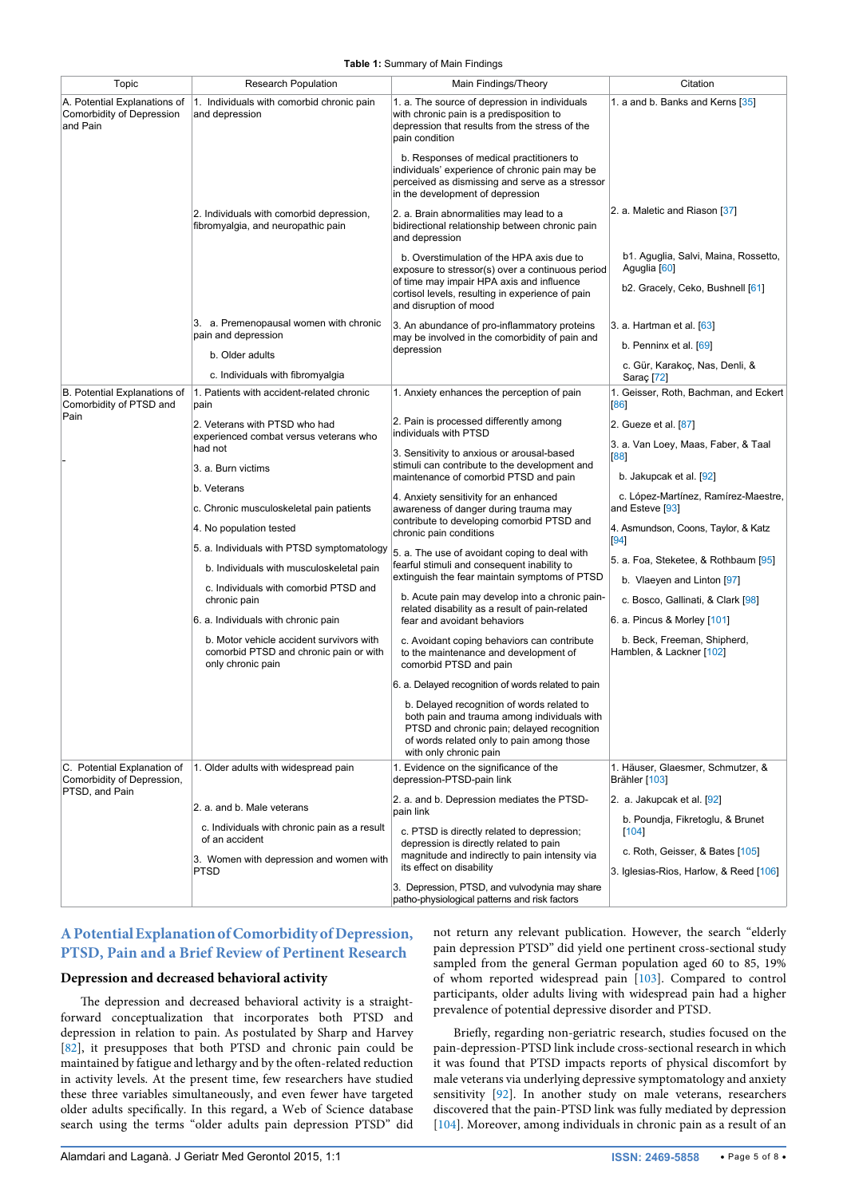<span id="page-4-0"></span>**Table 1:** Summary of Main Findings

| Topic                                                                       | <b>Research Population</b>                                                                              | Main Findings/Theory                                                                                                                                                                                           | Citation                                                |
|-----------------------------------------------------------------------------|---------------------------------------------------------------------------------------------------------|----------------------------------------------------------------------------------------------------------------------------------------------------------------------------------------------------------------|---------------------------------------------------------|
| A. Potential Explanations of<br>Comorbidity of Depression<br>and Pain       | 1. Individuals with comorbid chronic pain<br>and depression                                             | 1. a. The source of depression in individuals<br>with chronic pain is a predisposition to<br>depression that results from the stress of the<br>pain condition                                                  | 1. a and b. Banks and Kerns [35]                        |
|                                                                             |                                                                                                         | b. Responses of medical practitioners to<br>individuals' experience of chronic pain may be<br>perceived as dismissing and serve as a stressor<br>in the development of depression                              |                                                         |
|                                                                             | 2. Individuals with comorbid depression,<br>fibromyalgia, and neuropathic pain                          | 2. a. Brain abnormalities may lead to a<br>bidirectional relationship between chronic pain<br>and depression                                                                                                   | 2. a. Maletic and Riason [37]                           |
|                                                                             |                                                                                                         | b. Overstimulation of the HPA axis due to<br>exposure to stressor(s) over a continuous period                                                                                                                  | b1. Aguglia, Salvi, Maina, Rossetto,<br>Aguglia [60]    |
|                                                                             |                                                                                                         | of time may impair HPA axis and influence<br>cortisol levels, resulting in experience of pain<br>and disruption of mood                                                                                        | b2. Gracely, Ceko, Bushnell [61]                        |
|                                                                             | 3. a. Premenopausal women with chronic<br>pain and depression                                           | 3. An abundance of pro-inflammatory proteins<br>may be involved in the comorbidity of pain and<br>depression                                                                                                   | 3. a. Hartman et al. [63]                               |
|                                                                             | b. Older adults                                                                                         |                                                                                                                                                                                                                | b. Penninx et al. $[69]$                                |
|                                                                             | c. Individuals with fibromyalgia                                                                        |                                                                                                                                                                                                                | c. Gür, Karakoç, Nas, Denli, &<br>Saraç <sup>[72]</sup> |
| B. Potential Explanations of<br>Comorbidity of PTSD and                     | 1. Patients with accident-related chronic<br>pain                                                       | 1. Anxiety enhances the perception of pain                                                                                                                                                                     | 1. Geisser, Roth, Bachman, and Eckert<br>[86]           |
| Pain                                                                        | 2. Veterans with PTSD who had<br>experienced combat versus veterans who                                 | 2. Pain is processed differently among<br>individuals with PTSD                                                                                                                                                | 2. Gueze et al. [87]                                    |
|                                                                             | had not                                                                                                 | 3. Sensitivity to anxious or arousal-based                                                                                                                                                                     | 3. a. Van Loey, Maas, Faber, & Taal<br>[88]             |
|                                                                             | 3. a. Burn victims                                                                                      | stimuli can contribute to the development and<br>maintenance of comorbid PTSD and pain                                                                                                                         | b. Jakupcak et al. [92]                                 |
|                                                                             | b. Veterans                                                                                             | 4. Anxiety sensitivity for an enhanced                                                                                                                                                                         | c. López-Martínez, Ramírez-Maestre,                     |
|                                                                             | c. Chronic musculoskeletal pain patients                                                                | awareness of danger during trauma may<br>contribute to developing comorbid PTSD and                                                                                                                            | and Esteve [93]                                         |
|                                                                             | 4. No population tested                                                                                 | chronic pain conditions                                                                                                                                                                                        | 4. Asmundson, Coons, Taylor, & Katz<br>[94]             |
|                                                                             | 5. a. Individuals with PTSD symptomatology<br>b. Individuals with musculoskeletal pain                  | 5. a. The use of avoidant coping to deal with<br>fearful stimuli and consequent inability to                                                                                                                   | 5. a. Foa, Steketee, & Rothbaum [95]                    |
|                                                                             | c. Individuals with comorbid PTSD and                                                                   | extinguish the fear maintain symptoms of PTSD<br>b. Acute pain may develop into a chronic pain-<br>related disability as a result of pain-related                                                              | b. Vlaeyen and Linton [97]                              |
|                                                                             | chronic pain                                                                                            |                                                                                                                                                                                                                | c. Bosco, Gallinati, & Clark [98]                       |
|                                                                             | 6. a. Individuals with chronic pain                                                                     | fear and avoidant behaviors                                                                                                                                                                                    | 6. a. Pincus & Morley [101]                             |
|                                                                             | b. Motor vehicle accident survivors with<br>comorbid PTSD and chronic pain or with<br>only chronic pain | c. Avoidant coping behaviors can contribute<br>to the maintenance and development of<br>comorbid PTSD and pain                                                                                                 | b. Beck, Freeman, Shipherd,<br>Hamblen, & Lackner [102] |
|                                                                             |                                                                                                         | 6. a. Delayed recognition of words related to pain                                                                                                                                                             |                                                         |
|                                                                             |                                                                                                         | b. Delayed recognition of words related to<br>both pain and trauma among individuals with<br>PTSD and chronic pain; delayed recognition<br>of words related only to pain among those<br>with only chronic pain |                                                         |
| C. Potential Explanation of<br>Comorbidity of Depression,<br>PTSD, and Pain | 1. Older adults with widespread pain                                                                    | 1. Evidence on the significance of the<br>depression-PTSD-pain link                                                                                                                                            | 1. Häuser, Glaesmer, Schmutzer, &<br>Brähler [103]      |
|                                                                             | 2. a. and b. Male veterans                                                                              | 2. a. and b. Depression mediates the PTSD-<br>pain link                                                                                                                                                        | 2. a. Jakupcak et al. [92]                              |
|                                                                             | c. Individuals with chronic pain as a result<br>of an accident                                          | c. PTSD is directly related to depression;<br>depression is directly related to pain                                                                                                                           | b. Poundja, Fikretoglu, & Brunet<br>[104]               |
|                                                                             | 3. Women with depression and women with                                                                 | magnitude and indirectly to pain intensity via<br>its effect on disability                                                                                                                                     | c. Roth, Geisser, & Bates [105]                         |
|                                                                             | <b>PTSD</b>                                                                                             | 3. Depression, PTSD, and vulvodynia may share<br>patho-physiological patterns and risk factors                                                                                                                 | 3. Iglesias-Rios, Harlow, & Reed [106]                  |

# **A Potential Explanation of Comorbidity of Depression, PTSD, Pain and a Brief Review of Pertinent Research**

# **Depression and decreased behavioral activity**

The depression and decreased behavioral activity is a straightforward conceptualization that incorporates both PTSD and depression in relation to pain. As postulated by Sharp and Harvey [[82](#page-7-1)], it presupposes that both PTSD and chronic pain could be maintained by fatigue and lethargy and by the often-related reduction in activity levels. At the present time, few researchers have studied these three variables simultaneously, and even fewer have targeted older adults specifically. In this regard, a Web of Science database search using the terms "older adults pain depression PTSD" did

not return any relevant publication. However, the search "elderly pain depression PTSD" did yield one pertinent cross-sectional study sampled from the general German population aged 60 to 85, 19% of whom reported widespread pain [[103\]](#page-7-22). Compared to control participants, older adults living with widespread pain had a higher prevalence of potential depressive disorder and PTSD.

Briefly, regarding non-geriatric research, studies focused on the pain-depression-PTSD link include cross-sectional research in which it was found that PTSD impacts reports of physical discomfort by male veterans via underlying depressive symptomatology and anxiety sensitivity [\[92\]](#page-7-20). In another study on male veterans, researchers discovered that the pain-PTSD link was fully mediated by depression [[104\]](#page-7-23). Moreover, among individuals in chronic pain as a result of an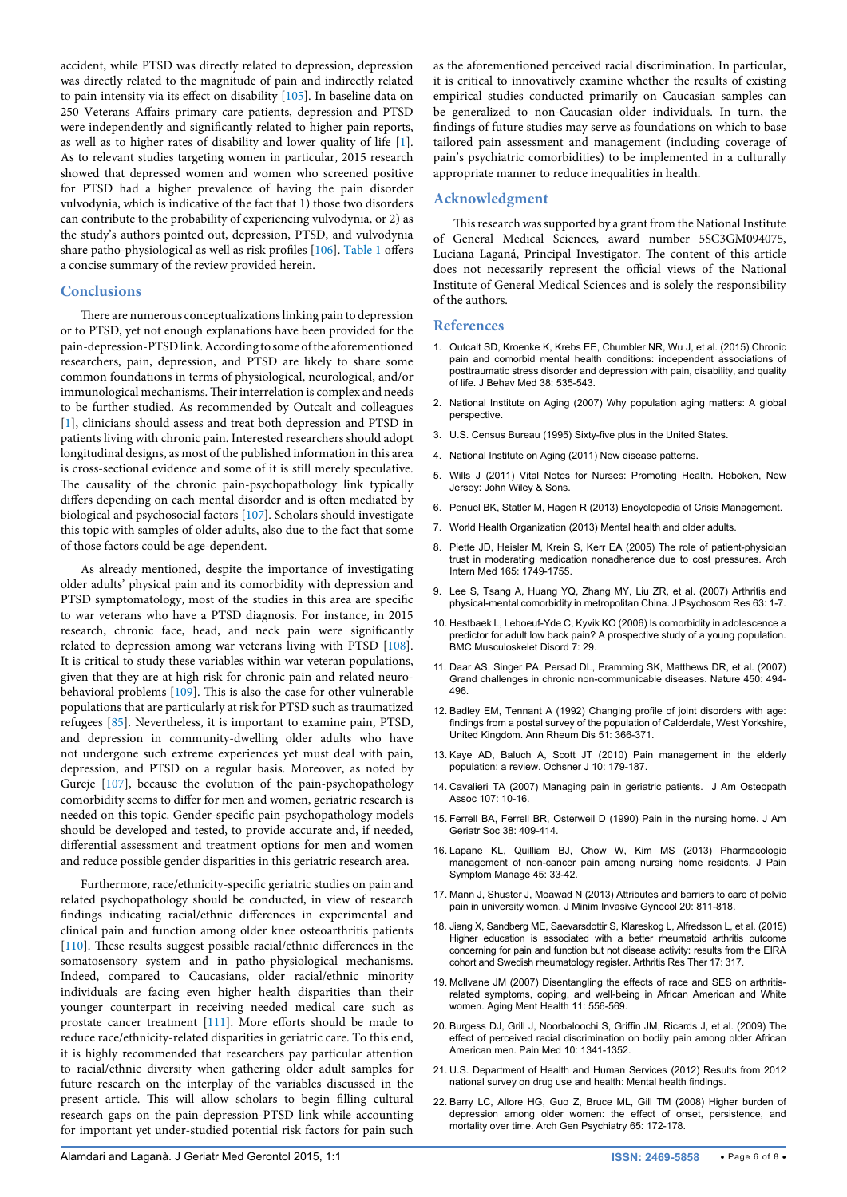accident, while PTSD was directly related to depression, depression was directly related to the magnitude of pain and indirectly related to pain intensity via its effect on disability [[105\]](#page-7-24). In baseline data on 250 Veterans Affairs primary care patients, depression and PTSD were independently and significantly related to higher pain reports, as well as to higher rates of disability and lower quality of life [\[1](#page-5-10)]. As to relevant studies targeting women in particular, 2015 research showed that depressed women and women who screened positive for PTSD had a higher prevalence of having the pain disorder vulvodynia, which is indicative of the fact that 1) those two disorders can contribute to the probability of experiencing vulvodynia, or 2) as the study's authors pointed out, depression, PTSD, and vulvodynia share patho-physiological as well as risk profiles [\[106](#page-7-25)]. [Table 1](#page-4-0) offers a concise summary of the review provided herein.

### **Conclusions**

There are numerous conceptualizations linking pain to depression or to PTSD, yet not enough explanations have been provided for the pain-depression-PTSD link. According to some of the aforementioned researchers, pain, depression, and PTSD are likely to share some common foundations in terms of physiological, neurological, and/or immunological mechanisms. Their interrelation is complex and needs to be further studied. As recommended by Outcalt and colleagues [[1\]](#page-5-10), clinicians should assess and treat both depression and PTSD in patients living with chronic pain. Interested researchers should adopt longitudinal designs, as most of the published information in this area is cross-sectional evidence and some of it is still merely speculative. The causality of the chronic pain-psychopathology link typically differs depending on each mental disorder and is often mediated by biological and psychosocial factors [[107\]](#page-7-26). Scholars should investigate this topic with samples of older adults, also due to the fact that some of those factors could be age-dependent.

As already mentioned, despite the importance of investigating older adults' physical pain and its comorbidity with depression and PTSD symptomatology, most of the studies in this area are specific to war veterans who have a PTSD diagnosis. For instance, in 2015 research, chronic face, head, and neck pain were significantly related to depression among war veterans living with PTSD [\[108](#page-7-27)]. It is critical to study these variables within war veteran populations, given that they are at high risk for chronic pain and related neurobehavioral problems [[109\]](#page-7-28). This is also the case for other vulnerable populations that are particularly at risk for PTSD such as traumatized refugees [\[85\]](#page-7-13). Nevertheless, it is important to examine pain, PTSD, and depression in community-dwelling older adults who have not undergone such extreme experiences yet must deal with pain, depression, and PTSD on a regular basis. Moreover, as noted by Gureje [\[107](#page-7-26)], because the evolution of the pain-psychopathology comorbidity seems to differ for men and women, geriatric research is needed on this topic. Gender-specific pain-psychopathology models should be developed and tested, to provide accurate and, if needed, differential assessment and treatment options for men and women and reduce possible gender disparities in this geriatric research area.

Furthermore, race/ethnicity-specific geriatric studies on pain and related psychopathology should be conducted, in view of research findings indicating racial/ethnic differences in experimental and clinical pain and function among older knee osteoarthritis patients [[110\]](#page-7-29). These results suggest possible racial/ethnic differences in the somatosensory system and in patho-physiological mechanisms. Indeed, compared to Caucasians, older racial/ethnic minority individuals are facing even higher health disparities than their younger counterpart in receiving needed medical care such as prostate cancer treatment [[111\]](#page-7-30). More efforts should be made to reduce race/ethnicity-related disparities in geriatric care. To this end, it is highly recommended that researchers pay particular attention to racial/ethnic diversity when gathering older adult samples for future research on the interplay of the variables discussed in the present article. This will allow scholars to begin filling cultural research gaps on the pain-depression-PTSD link while accounting for important yet under-studied potential risk factors for pain such

as the aforementioned perceived racial discrimination. In particular, it is critical to innovatively examine whether the results of existing empirical studies conducted primarily on Caucasian samples can be generalized to non-Caucasian older individuals. In turn, the findings of future studies may serve as foundations on which to base tailored pain assessment and management (including coverage of pain's psychiatric comorbidities) to be implemented in a culturally appropriate manner to reduce inequalities in health.

## **Acknowledgment**

This research was supported by a grant from the National Institute of General Medical Sciences, award number 5SC3GM094075, Luciana Laganá, Principal Investigator. The content of this article does not necessarily represent the official views of the National Institute of General Medical Sciences and is solely the responsibility of the authors.

#### **References**

- <span id="page-5-10"></span>1. [Outcalt SD, Kroenke K, Krebs EE, Chumbler NR, Wu J, et al. \(2015\) Chronic](http://www.ncbi.nlm.nih.gov/pubmed/25786741)  [pain and comorbid mental health conditions: independent associations of](http://www.ncbi.nlm.nih.gov/pubmed/25786741)  [posttraumatic stress disorder and depression with pain, disability, and quality](http://www.ncbi.nlm.nih.gov/pubmed/25786741)  [of life. J Behav Med 38: 535-543.](http://www.ncbi.nlm.nih.gov/pubmed/25786741)
- <span id="page-5-0"></span>2. [National Institute on Aging \(2007\) Why population aging matters: A global](file:///C:\Users\SRO 9\Downloads\WPAM.pdf)  [perspective.](file:///C:\Users\SRO 9\Downloads\WPAM.pdf)
- <span id="page-5-1"></span>3. [U.S. Census Bureau \(1995\) Sixty-five plus in the United States](https://www.census.gov/population/socdemo/statbriefs/agebrief.html).
- <span id="page-5-2"></span>4. [National Institute on Aging \(2011\) New disease patterns.](https://www.nia.nih.gov/research/publication/global-health-and-aging/new-disease-patterns)
- <span id="page-5-3"></span>5. Wills J (2011) Vital Notes for Nurses: Promoting Health. Hoboken, New Jersey: John Wiley & Sons.
- <span id="page-5-4"></span>6. [Penuel BK, Statler M, Hagen R \(2013\) Encyclopedia of Crisis Management.](https://books.google.co.in/books?id=iT11AwAAQBAJ&pg=PA664&lpg=PA664&dq=penuel+statler+Non-communicable+diseases&source=bl&ots=VwS4xaCgnC&sig=oVjNU85XwVrn2d-rkf_brv97QPo&hl=en&sa=X&ei=4t45VbugIdDUoASR5IHQDg&redir_esc=y#v=onepage&q=penuel statler Non-com)
- <span id="page-5-5"></span>7. [World Health Organization \(2013\) Mental health and older adults.](http://www.who.int/mediacentre/factsheets/fs381/en/)
- <span id="page-5-6"></span>8. [Piette JD, Heisler M, Krein S, Kerr EA \(2005\) The role of patient-physician](http://www.ncbi.nlm.nih.gov/pubmed/16087823)  [trust in moderating medication nonadherence due to cost pressures. Arch](http://www.ncbi.nlm.nih.gov/pubmed/16087823)  [Intern Med 165: 1749-1755.](http://www.ncbi.nlm.nih.gov/pubmed/16087823)
- <span id="page-5-7"></span>9. [Lee S, Tsang A, Huang YQ, Zhang MY, Liu ZR, et al. \(2007\) Arthritis and](http://www.ncbi.nlm.nih.gov/pubmed/17586332)  [physical-mental comorbidity in metropolitan China. J Psychosom Res 63: 1-7.](http://www.ncbi.nlm.nih.gov/pubmed/17586332)
- <span id="page-5-8"></span>10. [Hestbaek L, Leboeuf-Yde C, Kyvik KO \(2006\) Is comorbidity in adolescence a](http://www.ncbi.nlm.nih.gov/pubmed/16539740)  [predictor for adult low back pain? A prospective study of a young population.](http://www.ncbi.nlm.nih.gov/pubmed/16539740)  [BMC Musculoskelet Disord 7: 29.](http://www.ncbi.nlm.nih.gov/pubmed/16539740)
- <span id="page-5-9"></span>11. [Daar AS, Singer PA, Persad DL, Pramming SK, Matthews DR, et al. \(2007\)](http://www.ncbi.nlm.nih.gov/pubmed/18033288)  [Grand challenges in chronic non-communicable diseases. Nature 450: 494-](http://www.ncbi.nlm.nih.gov/pubmed/18033288) [496.](http://www.ncbi.nlm.nih.gov/pubmed/18033288)
- <span id="page-5-11"></span>12. [Badley EM, Tennant A \(1992\) Changing profile of joint disorders with age:](http://www.ncbi.nlm.nih.gov/pubmed/1533506)  [findings from a postal survey of the population of Calderdale, West Yorkshire,](http://www.ncbi.nlm.nih.gov/pubmed/1533506)  [United Kingdom. Ann Rheum Dis 51: 366-371.](http://www.ncbi.nlm.nih.gov/pubmed/1533506)
- <span id="page-5-12"></span>13. [Kaye AD, Baluch A, Scott JT \(2010\) Pain management in the elderly](http://www.ncbi.nlm.nih.gov/pubmed/21603375)  [population: a review. Ochsner J 10: 179-187.](http://www.ncbi.nlm.nih.gov/pubmed/21603375)
- <span id="page-5-13"></span>14. [Cavalieri TA \(2007\) Managing pain in geriatric patients. J Am Osteopath](http://jaoa.org/article.aspx?articleid=2093506)  [Assoc 107: 10-16.](http://jaoa.org/article.aspx?articleid=2093506)
- 15. [Ferrell BA, Ferrell BR, Osterweil D \(1990\) Pain in the nursing home. J Am](http://www.ncbi.nlm.nih.gov/pubmed/2109765)  [Geriatr Soc 38: 409-414.](http://www.ncbi.nlm.nih.gov/pubmed/2109765)
- <span id="page-5-14"></span>16. [Lapane KL, Quilliam BJ, Chow W, Kim MS \(2013\) Pharmacologic](http://www.ncbi.nlm.nih.gov/pubmed/22841409)  [management of non-cancer pain among nursing home residents. J Pain](http://www.ncbi.nlm.nih.gov/pubmed/22841409)  [Symptom Manage 45: 33-42.](http://www.ncbi.nlm.nih.gov/pubmed/22841409)
- <span id="page-5-15"></span>17. [Mann J, Shuster J, Moawad N \(2013\) Attributes and barriers to care of pelvic](http://www.ncbi.nlm.nih.gov/pubmed/23981982)  [pain in university women. J Minim Invasive Gynecol 20: 811-818.](http://www.ncbi.nlm.nih.gov/pubmed/23981982)
- <span id="page-5-16"></span>18. [Jiang X, Sandberg ME, Saevarsdottir S, Klareskog L, Alfredsson L, et al. \(2015\)](http://www.ncbi.nlm.nih.gov/pubmed/26546562)  [Higher education is associated with a better rheumatoid arthritis outcome](http://www.ncbi.nlm.nih.gov/pubmed/26546562)  [concerning for pain and function but not disease activity: results from the EIRA](http://www.ncbi.nlm.nih.gov/pubmed/26546562)  [cohort and Swedish rheumatology register. Arthritis Res Ther 17: 317](http://www.ncbi.nlm.nih.gov/pubmed/26546562).
- <span id="page-5-17"></span>19. [McIlvane JM \(2007\) Disentangling the effects of race and SES on arthritis](http://www.ncbi.nlm.nih.gov/pubmed/17882594)[related symptoms, coping, and well-being in African American and White](http://www.ncbi.nlm.nih.gov/pubmed/17882594)  [women. Aging Ment Health 11: 556-569.](http://www.ncbi.nlm.nih.gov/pubmed/17882594)
- <span id="page-5-18"></span>20. [Burgess DJ, Grill J, Noorbaloochi S, Griffin JM, Ricards J, et al. \(2009\) The](http://www.ncbi.nlm.nih.gov/pubmed/20021596)  [effect of perceived racial discrimination on bodily pain among older African](http://www.ncbi.nlm.nih.gov/pubmed/20021596)  [American men. Pain Med 10: 1341-1352.](http://www.ncbi.nlm.nih.gov/pubmed/20021596)
- <span id="page-5-19"></span>21. [U.S. Department of Health and Human Services \(2012\) Results from 2012](http://www.samhsa.gov/data/sites/default/files/2k12MH_Findings/2k12MH_Findings/NSDUHmhfr2012.htm)  [national survey on drug use and health: Mental health findings](http://www.samhsa.gov/data/sites/default/files/2k12MH_Findings/2k12MH_Findings/NSDUHmhfr2012.htm).
- <span id="page-5-20"></span>22. [Barry LC, Allore HG, Guo Z, Bruce ML, Gill TM \(2008\) Higher burden of](http://www.ncbi.nlm.nih.gov/pubmed/18250255)  [depression among older women: the effect of onset, persistence, and](http://www.ncbi.nlm.nih.gov/pubmed/18250255)  [mortality over time. Arch Gen Psychiatry 65: 172-178.](http://www.ncbi.nlm.nih.gov/pubmed/18250255)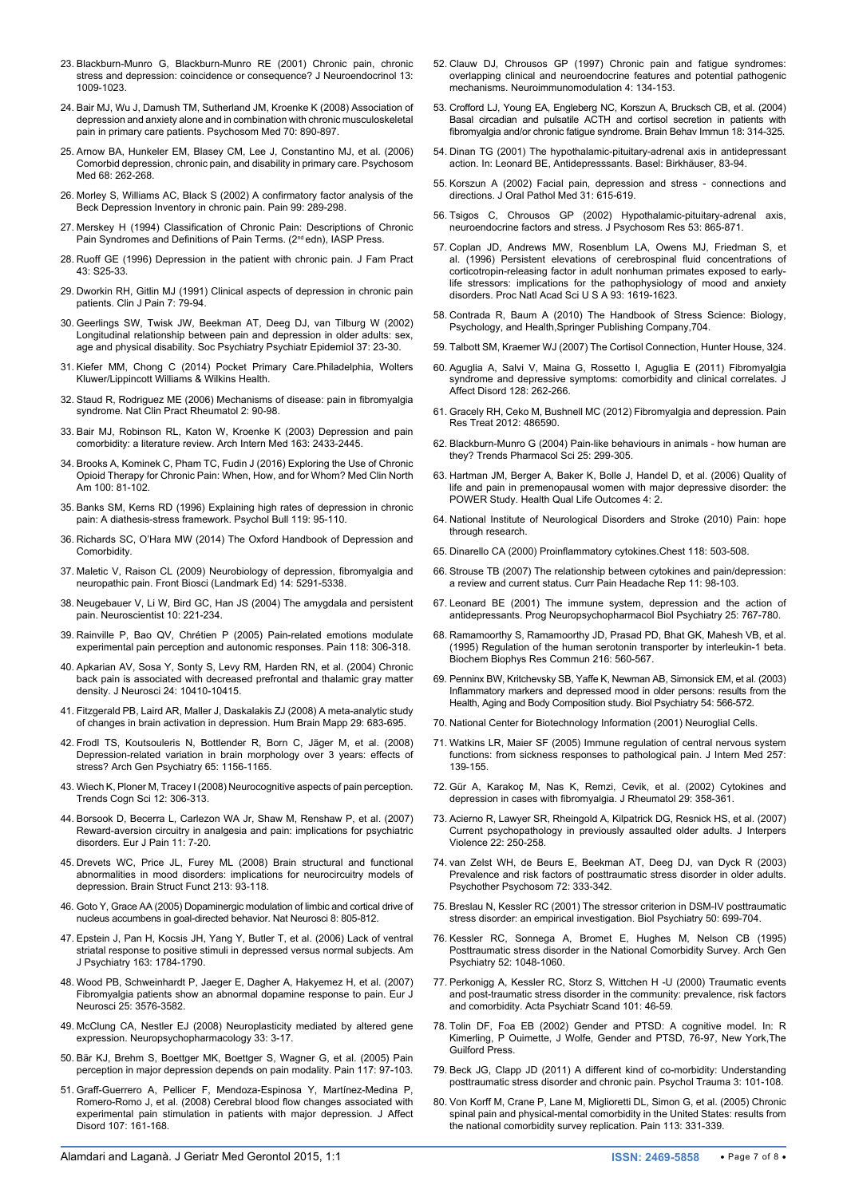- <span id="page-6-0"></span>23. [Blackburn-Munro G, Blackburn-Munro RE \(2001\) Chronic pain, chronic](http://www.ncbi.nlm.nih.gov/pubmed/11722697)  [stress and depression: coincidence or consequence? J Neuroendocrinol 13:](http://www.ncbi.nlm.nih.gov/pubmed/11722697)  [1009-1023.](http://www.ncbi.nlm.nih.gov/pubmed/11722697)
- <span id="page-6-1"></span>24. [Bair MJ, Wu J, Damush TM, Sutherland JM, Kroenke K \(2008\) Association of](http://www.ncbi.nlm.nih.gov/pubmed/18799425)  [depression and anxiety alone and in combination with chronic musculoskeletal](http://www.ncbi.nlm.nih.gov/pubmed/18799425)  [pain in primary care patients. Psychosom Med 70: 890-897.](http://www.ncbi.nlm.nih.gov/pubmed/18799425)
- <span id="page-6-2"></span>25. [Arnow BA, Hunkeler EM, Blasey CM, Lee J, Constantino MJ, et al. \(2006\)](http://www.ncbi.nlm.nih.gov/pubmed/16554392)  [Comorbid depression, chronic pain, and disability in primary care. Psychosom](http://www.ncbi.nlm.nih.gov/pubmed/16554392)  [Med 68: 262-268.](http://www.ncbi.nlm.nih.gov/pubmed/16554392)
- <span id="page-6-3"></span>26. [Morley S, Williams AC, Black S \(2002\) A confirmatory factor analysis of the](http://www.ncbi.nlm.nih.gov/pubmed/12237207)  [Beck Depression Inventory in chronic pain. Pain 99: 289-298.](http://www.ncbi.nlm.nih.gov/pubmed/12237207)
- <span id="page-6-4"></span>27. Merskey H (1994) Classification of Chronic Pain: Descriptions of Chronic Pain Syndromes and Definitions of Pain Terms. (2<sup>nd</sup> edn), IASP Press.
- <span id="page-6-5"></span>28. [Ruoff GE \(1996\) Depression in the patient with chronic pain. J Fam Pract](http://www.ncbi.nlm.nih.gov/pubmed/8969710)  [43: S25-33.](http://www.ncbi.nlm.nih.gov/pubmed/8969710)
- <span id="page-6-6"></span>29. [Dworkin RH, Gitlin MJ \(1991\) Clinical aspects of depression in chronic pain](http://www.ncbi.nlm.nih.gov/pubmed/1809423)  [patients. Clin J Pain 7: 79-94.](http://www.ncbi.nlm.nih.gov/pubmed/1809423)
- <span id="page-6-7"></span>30. [Geerlings SW, Twisk JW, Beekman AT, Deeg DJ, van Tilburg W \(2002\)](http://www.ncbi.nlm.nih.gov/pubmed/11926200)  Longitudinal relationship between pain and depression in older adults: sex, [age and physical disability. Soc Psychiatry Psychiatr Epidemiol 37: 23-30.](http://www.ncbi.nlm.nih.gov/pubmed/11926200)
- <span id="page-6-8"></span>31. [Kiefer MM, Chong C \(2014\) Pocket Primary Care.Philadelphia, Wolters](https://books.google.co.in/books?id=ktaCAwAAQBAJ&printsec=frontcover&source=gbs_ge_summary_r&cad=0#v=onepage&q&f=false)  [Kluwer/Lippincott Williams & Wilkins Health.](https://books.google.co.in/books?id=ktaCAwAAQBAJ&printsec=frontcover&source=gbs_ge_summary_r&cad=0#v=onepage&q&f=false)
- <span id="page-6-9"></span>32. [Staud R, Rodriguez ME \(2006\) Mechanisms of disease: pain in fibromyalgia](http://www.ncbi.nlm.nih.gov/pubmed/16932662)  [syndrome. Nat Clin Pract Rheumatol 2: 90-98.](http://www.ncbi.nlm.nih.gov/pubmed/16932662)
- <span id="page-6-10"></span>33. [Bair MJ, Robinson RL, Katon W, Kroenke K \(2003\) Depression and pain](http://www.ncbi.nlm.nih.gov/pubmed/14609780)  [comorbidity: a literature review. Arch Intern Med 163: 2433-2445.](http://www.ncbi.nlm.nih.gov/pubmed/14609780)
- <span id="page-6-11"></span>34. [Brooks A, Kominek C, Pham TC, Fudin J \(2016\) Exploring the Use of Chronic](http://www.ncbi.nlm.nih.gov/pubmed/26614721)  [Opioid Therapy for Chronic Pain: When, How, and for Whom? Med Clin North](http://www.ncbi.nlm.nih.gov/pubmed/26614721)  [Am 100: 81-102.](http://www.ncbi.nlm.nih.gov/pubmed/26614721)
- <span id="page-6-12"></span>35. [Banks SM, Kerns RD \(1996\) Explaining high rates of depression in chronic](http://psycnet.apa.org/index.cfm?fa=buy.optionToBuy&id=1996-01401-007)  [pain: A diathesis-stress framework. Psychol Bull 119: 95-110.](http://psycnet.apa.org/index.cfm?fa=buy.optionToBuy&id=1996-01401-007)
- <span id="page-6-13"></span>36. [Richards SC, O'Hara MW \(2014\) The Oxford Handbook of Depression and](https://books.google.co.in/books?id=9jpsAwAAQBAJ&pg=PA322&lpg=PA322&dq=pain+depression+consequence+hypothesis&source=bl&ots=OzKnjORhYk&sig=85aXU-oSdfRdWoqRB87y5bEppnc&hl=en&sa=X&ei=_OP8VLSyGYipogTI-ICYCQ&redir_esc=y#v=onepage&q=pain depression conseque)  [Comorbidity](https://books.google.co.in/books?id=9jpsAwAAQBAJ&pg=PA322&lpg=PA322&dq=pain+depression+consequence+hypothesis&source=bl&ots=OzKnjORhYk&sig=85aXU-oSdfRdWoqRB87y5bEppnc&hl=en&sa=X&ei=_OP8VLSyGYipogTI-ICYCQ&redir_esc=y#v=onepage&q=pain depression conseque).
- <span id="page-6-14"></span>37. [Maletic V, Raison CL \(2009\) Neurobiology of depression, fibromyalgia and](http://www.ncbi.nlm.nih.gov/pubmed/19482616)  [neuropathic pain. Front Biosci \(Landmark Ed\) 14: 5291-5338.](http://www.ncbi.nlm.nih.gov/pubmed/19482616)
- <span id="page-6-15"></span>38. [Neugebauer V, Li W, Bird GC, Han JS \(2004\) The amygdala and persistent](http://www.ncbi.nlm.nih.gov/pubmed/15155061)  [pain. Neuroscientist 10: 221-234.](http://www.ncbi.nlm.nih.gov/pubmed/15155061)
- <span id="page-6-16"></span>39. [Rainville P, Bao QV, Chrétien P \(2005\) Pain-related emotions modulate](http://www.ncbi.nlm.nih.gov/pubmed/16289802)  [experimental pain perception and autonomic responses. Pain 118: 306-318.](http://www.ncbi.nlm.nih.gov/pubmed/16289802)
- <span id="page-6-17"></span>40. [Apkarian AV, Sosa Y, Sonty S, Levy RM, Harden RN, et al. \(2004\) Chronic](http://www.ncbi.nlm.nih.gov/pubmed/15548656)  [back pain is associated with decreased prefrontal and thalamic gray matter](http://www.ncbi.nlm.nih.gov/pubmed/15548656)  [density. J Neurosci 24: 10410-10415.](http://www.ncbi.nlm.nih.gov/pubmed/15548656)
- 41. [Fitzgerald PB, Laird AR, Maller J, Daskalakis ZJ \(2008\) A meta-analytic study](http://www.ncbi.nlm.nih.gov/pubmed/17598168)  [of changes in brain activation in depression. Hum Brain Mapp 29: 683-695.](http://www.ncbi.nlm.nih.gov/pubmed/17598168)
- 42. [Frodl TS, Koutsouleris N, Bottlender R, Born C, Jäger M, et al. \(2008\)](http://www.ncbi.nlm.nih.gov/pubmed/18838632)  [Depression-related variation in brain morphology over 3 years: effects of](http://www.ncbi.nlm.nih.gov/pubmed/18838632)  [stress? Arch Gen Psychiatry 65: 1156-1165.](http://www.ncbi.nlm.nih.gov/pubmed/18838632)
- <span id="page-6-18"></span>43. [Wiech K, Ploner M, Tracey I \(2008\) Neurocognitive aspects of pain perception.](http://www.ncbi.nlm.nih.gov/pubmed/18606561)  [Trends Cogn Sci 12: 306-313.](http://www.ncbi.nlm.nih.gov/pubmed/18606561)
- <span id="page-6-33"></span>44. [Borsook D, Becerra L, Carlezon WA Jr, Shaw M, Renshaw P, et al. \(2007\)](http://www.ncbi.nlm.nih.gov/pubmed/16495096)  [Reward-aversion circuitry in analgesia and pain: implications for psychiatric](http://www.ncbi.nlm.nih.gov/pubmed/16495096)  [disorders. Eur J Pain 11: 7-20.](http://www.ncbi.nlm.nih.gov/pubmed/16495096)
- <span id="page-6-37"></span>45. [Drevets WC, Price JL, Furey ML \(2008\) Brain structural and functional](http://www.ncbi.nlm.nih.gov/pubmed/18704495)  [abnormalities in mood disorders: implications for neurocircuitry models of](http://www.ncbi.nlm.nih.gov/pubmed/18704495)  [depression. Brain Struct Funct 213: 93-118.](http://www.ncbi.nlm.nih.gov/pubmed/18704495)
- <span id="page-6-34"></span>46. [Goto Y, Grace AA \(2005\) Dopaminergic modulation of limbic and cortical drive of](http://www.ncbi.nlm.nih.gov/pubmed/15908948)  [nucleus accumbens in goal-directed behavior. Nat Neurosci 8: 805-812.](http://www.ncbi.nlm.nih.gov/pubmed/15908948)
- <span id="page-6-35"></span>47. [Epstein J, Pan H, Kocsis JH, Yang Y, Butler T, et al. \(2006\) Lack of ventral](http://www.ncbi.nlm.nih.gov/pubmed/17012690)  [striatal response to positive stimuli in depressed versus normal subjects. Am](http://www.ncbi.nlm.nih.gov/pubmed/17012690)  [J Psychiatry 163: 1784-1790.](http://www.ncbi.nlm.nih.gov/pubmed/17012690)
- <span id="page-6-36"></span>48. [Wood PB, Schweinhardt P, Jaeger E, Dagher A, Hakyemez H, et al. \(2007\)](http://www.ncbi.nlm.nih.gov/pubmed/17610577)  [Fibromyalgia patients show an abnormal dopamine response to pain. Eur J](http://www.ncbi.nlm.nih.gov/pubmed/17610577)  [Neurosci 25: 3576-3582.](http://www.ncbi.nlm.nih.gov/pubmed/17610577)
- <span id="page-6-38"></span>49. [McClung CA, Nestler EJ \(2008\) Neuroplasticity mediated by altered gene](http://www.ncbi.nlm.nih.gov/pubmed/17728700)  expression. Neuropsychopharmacology 33: 3-17
- <span id="page-6-39"></span>50. [Bär KJ, Brehm S, Boettger MK, Boettger S, Wagner G, et al. \(2005\) Pain](http://www.ncbi.nlm.nih.gov/pubmed/16061323)  [perception in major depression depends on pain modality. Pain 117: 97-103.](http://www.ncbi.nlm.nih.gov/pubmed/16061323)
- <span id="page-6-40"></span>51. [Graff-Guerrero A, Pellicer F, Mendoza-Espinosa Y, Martínez-Medina P,](http://www.ncbi.nlm.nih.gov/pubmed/17904643)  [Romero-Romo J, et al. \(2008\) Cerebral blood flow changes associated with](http://www.ncbi.nlm.nih.gov/pubmed/17904643)  [experimental pain stimulation in patients with major depression. J Affect](http://www.ncbi.nlm.nih.gov/pubmed/17904643)  [Disord 107: 161-168.](http://www.ncbi.nlm.nih.gov/pubmed/17904643)
- <span id="page-6-41"></span>52. [Clauw DJ, Chrousos GP \(1997\) Chronic pain and fatigue syndromes:](http://www.ncbi.nlm.nih.gov/pubmed/9500148)  [overlapping clinical and neuroendocrine features and potential pathogenic](http://www.ncbi.nlm.nih.gov/pubmed/9500148)  [mechanisms. Neuroimmunomodulation 4: 134-153.](http://www.ncbi.nlm.nih.gov/pubmed/9500148)
- 53. [Crofford LJ, Young EA, Engleberg NC, Korszun A, Brucksch CB, et al. \(2004\)](http://www.ncbi.nlm.nih.gov/pubmed/15157948)  [Basal circadian and pulsatile ACTH and cortisol secretion in patients with](http://www.ncbi.nlm.nih.gov/pubmed/15157948)  [fibromyalgia and/or chronic fatigue syndrome. Brain Behav Immun 18: 314-325.](http://www.ncbi.nlm.nih.gov/pubmed/15157948)
- 54. [Dinan TG \(2001\) The hypothalamic-pituitary-adrenal axis in antidepressant](https://books.google.co.in/books?id=NYIECAAAQBAJ&pg=PR4&lpg=PR4&dq=Antidepressants.+Basel:+Birkh%C3%A4user&source=bl&ots=y9XVDZBGW7&sig=_ZEf7K8Jt-CRo4QKSFXJqSqIik8&hl=en&sa=X&ved=0ahUKEwjb28H137XKAhUKCI4KHXjCD4QQ6AEIKjAB#v=onepage&q=Antidepressants. Base)  [action. In: Leonard BE, Antidepresssants. Basel: Birkhäuser, 83-94.](https://books.google.co.in/books?id=NYIECAAAQBAJ&pg=PR4&lpg=PR4&dq=Antidepressants.+Basel:+Birkh%C3%A4user&source=bl&ots=y9XVDZBGW7&sig=_ZEf7K8Jt-CRo4QKSFXJqSqIik8&hl=en&sa=X&ved=0ahUKEwjb28H137XKAhUKCI4KHXjCD4QQ6AEIKjAB#v=onepage&q=Antidepressants. Base)
- <span id="page-6-42"></span>55. [Korszun A \(2002\) Facial pain, depression and stress - connections and](http://www.ncbi.nlm.nih.gov/pubmed/12406308)  [directions. J Oral Pathol Med 31: 615-619.](http://www.ncbi.nlm.nih.gov/pubmed/12406308)
- <span id="page-6-43"></span>56. [Tsigos C, Chrousos GP \(2002\) Hypothalamic-pituitary-adrenal axis,](http://www.ncbi.nlm.nih.gov/pubmed/12377295)  [neuroendocrine factors and stress. J Psychosom Res 53: 865-871.](http://www.ncbi.nlm.nih.gov/pubmed/12377295)
- <span id="page-6-44"></span>57. [Coplan JD, Andrews MW, Rosenblum LA, Owens MJ, Friedman S, et](http://www.ncbi.nlm.nih.gov/pubmed/8643680)  [al. \(1996\) Persistent elevations of cerebrospinal fluid concentrations of](http://www.ncbi.nlm.nih.gov/pubmed/8643680)  [corticotropin-releasing factor in adult nonhuman primates exposed to early](http://www.ncbi.nlm.nih.gov/pubmed/8643680)[life stressors: implications for the pathophysiology of mood and anxiety](http://www.ncbi.nlm.nih.gov/pubmed/8643680)  [disorders. Proc Natl Acad Sci U S A 93: 1619-1623.](http://www.ncbi.nlm.nih.gov/pubmed/8643680)
- <span id="page-6-45"></span>58. Contrada R, Baum A (2010) The Handbook of Stress Science: Biology, Psychology, and Health,Springer Publishing Company,704.
- <span id="page-6-46"></span>59. Talbott SM, Kraemer WJ (2007) The Cortisol Connection, Hunter House, 324.
- <span id="page-6-47"></span>60. [Aguglia A, Salvi V, Maina G, Rossetto I, Aguglia E \(2011\) Fibromyalgia](http://www.ncbi.nlm.nih.gov/pubmed/20674985)  syndrome and depressive symptoms: comorbidity and clinical correlates. J [Affect Disord 128: 262-266.](http://www.ncbi.nlm.nih.gov/pubmed/20674985)
- <span id="page-6-48"></span>61. [Gracely RH, Ceko M, Bushnell MC \(2012\) Fibromyalgia and depression. Pain](http://www.ncbi.nlm.nih.gov/pubmed/22191023)  [Res Treat 2012: 486590.](http://www.ncbi.nlm.nih.gov/pubmed/22191023)
- <span id="page-6-49"></span>62. [Blackburn-Munro G \(2004\) Pain-like behaviours in animals - how human are](http://www.ncbi.nlm.nih.gov/pubmed/15165744)  [they? Trends Pharmacol Sci 25: 299-305.](http://www.ncbi.nlm.nih.gov/pubmed/15165744)
- <span id="page-6-50"></span>63. [Hartman JM, Berger A, Baker K, Bolle J, Handel D, et al. \(2006\) Quality of](http://www.ncbi.nlm.nih.gov/pubmed/16420706)  [life and pain in premenopausal women with major depressive disorder: the](http://www.ncbi.nlm.nih.gov/pubmed/16420706)  [POWER Study. Health Qual Life Outcomes 4: 2.](http://www.ncbi.nlm.nih.gov/pubmed/16420706)
- <span id="page-6-51"></span>64. [National Institute of Neurological Disorders and Stroke \(2010\) Pain: hope](http://www.ninds.nih.gov/disorders/chronic_pain/detail_chronic_pain.htm#140523084)  [through research.](http://www.ninds.nih.gov/disorders/chronic_pain/detail_chronic_pain.htm#140523084)
- <span id="page-6-52"></span>65. [Dinarello CA \(2000\) Proinflammatory cytokines.Chest 118: 503-508.](http://www.ncbi.nlm.nih.gov/pubmed/10936147)
- <span id="page-6-19"></span>66. [Strouse TB \(2007\) The relationship between cytokines and pain/depression:](http://www.ncbi.nlm.nih.gov/pubmed/17367587)  [a review and current status. Curr Pain Headache Rep 11: 98-103.](http://www.ncbi.nlm.nih.gov/pubmed/17367587)
- 67. [Leonard BE \(2001\) The immune system, depression and the action of](http://www.ncbi.nlm.nih.gov/pubmed/11383977)  [antidepressants. Prog Neuropsychopharmacol Biol Psychiatry 25: 767-780.](http://www.ncbi.nlm.nih.gov/pubmed/11383977)
- <span id="page-6-20"></span>68. [Ramamoorthy S, Ramamoorthy JD, Prasad PD, Bhat GK, Mahesh VB, et al.](http://www.ncbi.nlm.nih.gov/pubmed/7488148)  [\(1995\) Regulation of the human serotonin transporter by interleukin-1 beta.](http://www.ncbi.nlm.nih.gov/pubmed/7488148)  [Biochem Biophys Res Commun 216: 560-567.](http://www.ncbi.nlm.nih.gov/pubmed/7488148)
- <span id="page-6-21"></span>69. [Penninx BW, Kritchevsky SB, Yaffe K, Newman AB, Simonsick EM, et al. \(2003\)](http://www.ncbi.nlm.nih.gov/pubmed/12946885)  [Inflammatory markers and depressed mood in older persons: results from the](http://www.ncbi.nlm.nih.gov/pubmed/12946885)  [Health, Aging and Body Composition study. Biol Psychiatry 54: 566-572.](http://www.ncbi.nlm.nih.gov/pubmed/12946885)
- <span id="page-6-22"></span>70. National Center for Biotechnology Information (2001) Neuroglial Cells.
- <span id="page-6-23"></span>71. [Watkins LR, Maier SF \(2005\) Immune regulation of central nervous system](http://www.ncbi.nlm.nih.gov/pubmed/15656873)  functions: from sickness responses to pathological pain. J Intern Med 257: [139-155.](http://www.ncbi.nlm.nih.gov/pubmed/15656873)
- <span id="page-6-24"></span>72. [Gür A, Karakoç M, Nas K, Remzi, Cevik, et al. \(2002\) Cytokines and](http://www.ncbi.nlm.nih.gov/pubmed/11838856)  [depression in cases with fibromyalgia. J Rheumatol 29: 358-361.](http://www.ncbi.nlm.nih.gov/pubmed/11838856)
- <span id="page-6-25"></span>73. [Acierno R, Lawyer SR, Rheingold A, Kilpatrick DG, Resnick HS, et al. \(2007\)](http://www.ncbi.nlm.nih.gov/pubmed/17202579)  [Current psychopathology in previously assaulted older adults. J Interpers](http://www.ncbi.nlm.nih.gov/pubmed/17202579)  [Violence 22: 250-258.](http://www.ncbi.nlm.nih.gov/pubmed/17202579)
- <span id="page-6-26"></span>74. [van Zelst WH, de Beurs E, Beekman AT, Deeg DJ, van Dyck R \(2003\)](http://www.ncbi.nlm.nih.gov/pubmed/14526136)  [Prevalence and risk factors of posttraumatic stress disorder in older adults.](http://www.ncbi.nlm.nih.gov/pubmed/14526136)  [Psychother Psychosom 72: 333-342.](http://www.ncbi.nlm.nih.gov/pubmed/14526136)
- <span id="page-6-27"></span>75. [Breslau N, Kessler RC \(2001\) The stressor criterion in DSM-IV posttraumatic](http://www.ncbi.nlm.nih.gov/pubmed/11704077)  [stress disorder: an empirical investigation. Biol Psychiatry 50: 699-704.](http://www.ncbi.nlm.nih.gov/pubmed/11704077)
- <span id="page-6-28"></span>76. [Kessler RC, Sonnega A, Bromet E, Hughes M, Nelson CB \(1995\)](http://www.ncbi.nlm.nih.gov/pubmed/7492257)  [Posttraumatic stress disorder in the National Comorbidity Survey. Arch Gen](http://www.ncbi.nlm.nih.gov/pubmed/7492257)  [Psychiatry 52: 1048-1060.](http://www.ncbi.nlm.nih.gov/pubmed/7492257)
- <span id="page-6-29"></span>77. [Perkonigg A, Kessler RC, Storz S, Wittchen H -U \(2000\) Traumatic events](http://www.ncbi.nlm.nih.gov/pubmed/10674950)  [and post-traumatic stress disorder in the community: prevalence, risk factors](http://www.ncbi.nlm.nih.gov/pubmed/10674950)  [and comorbidity. Acta Psychiatr Scand 101: 46-59.](http://www.ncbi.nlm.nih.gov/pubmed/10674950)
- <span id="page-6-30"></span>78. Tolin DF, Foa EB (2002) Gender and PTSD: A cognitive model. In: R Kimerling, P Ouimette, J Wolfe, Gender and PTSD, 76-97, New York,The Guilford Press.
- <span id="page-6-31"></span>79. [Beck JG, Clapp JD \(2011\) A different kind of co-morbidity: Understanding](http://www.ncbi.nlm.nih.gov/pubmed/21765966)  [posttraumatic stress disorder and chronic pain. Psychol Trauma 3: 101-108.](http://www.ncbi.nlm.nih.gov/pubmed/21765966)
- <span id="page-6-32"></span>80. [Von Korff M, Crane P, Lane M, Miglioretti DL, Simon G, et al. \(2005\) Chronic](http://www.ncbi.nlm.nih.gov/pubmed/15661441)  [spinal pain and physical-mental comorbidity in the United States: results from](http://www.ncbi.nlm.nih.gov/pubmed/15661441)  [the national comorbidity survey replication. Pain 113: 331-339.](http://www.ncbi.nlm.nih.gov/pubmed/15661441)